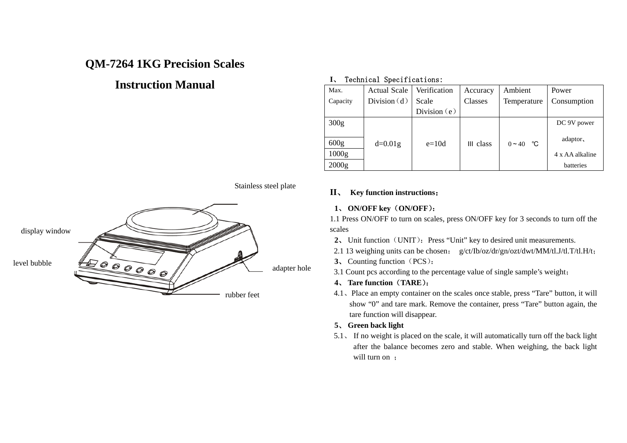# **QM-7264 1KG Precision Scales**

# **Instruction Manual**

#### **I**、 Technical Specifications:

| Max.             | <b>Actual Scale</b> | Verification   | Accuracy  | Ambient     | Power           |
|------------------|---------------------|----------------|-----------|-------------|-----------------|
| Capacity         | Division $(d)$      | Scale          | Classes   | Temperature | Consumption     |
|                  |                     | Division $(e)$ |           |             |                 |
| 300 <sub>g</sub> |                     |                |           |             | DC 9V power     |
|                  |                     |                |           |             |                 |
| 600 <sub>g</sub> | $d=0.01g$           | $e=10d$        | III class | $0 - 40$ °C | adaptor,        |
| 1000g            |                     |                |           |             | 4 x AA alkaline |
| 2000g            |                     |                |           |             | batteries       |

Stainless steel plate



#### **II**、 **Key function instructions**:

### **1**、 **ON/OFF key**(**ON/OFF**):

1.1 Press ON/OFF to turn on scales, press ON/OFF key for 3 seconds to turn off the scales

- 2. Unit function (UNIT): Press "Unit" key to desired unit measurements.
- 2.1 13 weighing units can be chosen: g/ct/Ib/oz/dr/gn/ozt/dwt/MM/tl.J/tl.T/tl.H/t;
- 、
- 

#### 、**4 Tare function**(**TARE**):

4.1、Place an empty container on the scales once stable, press "Tare" button, it will show "0" and tare mark. Remove the container, press "Tare" button again, the tare function will disappear.

#### **5**、 **Green back light**

5.1、 If no weight is placed on the scale, it will automatically turn off the back light after the balance becomes zero and stable. When weighing, the back light will turn on :